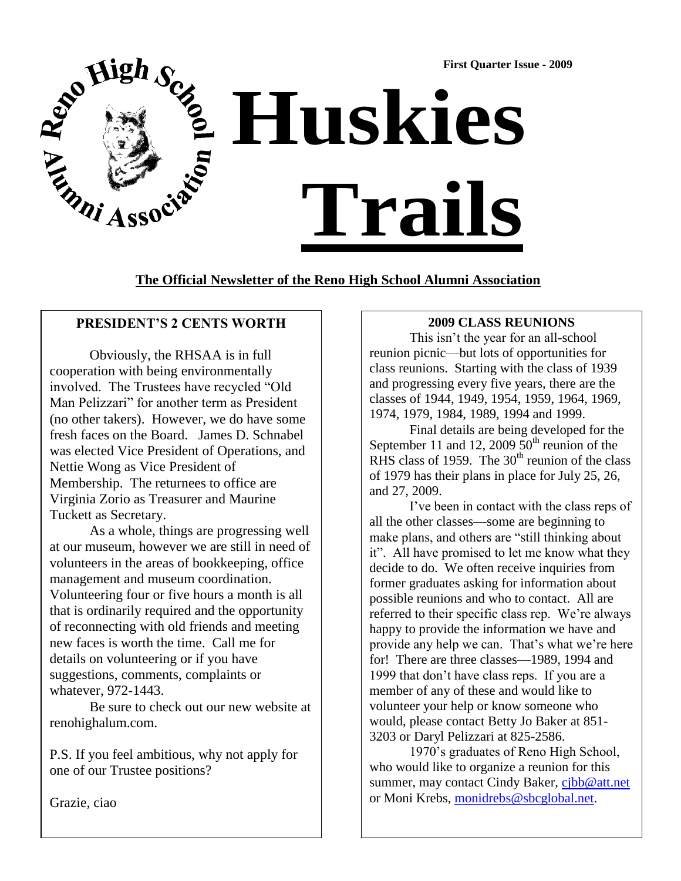

**The Official Newsletter of the Reno High School Alumni Association**

# **PRESIDENT'S 2 CENTS WORTH**

Obviously, the RHSAA is in full cooperation with being environmentally involved. The Trustees have recycled "Old" Man Pelizzari" for another term as President (no other takers). However, we do have some fresh faces on the Board. James D. Schnabel was elected Vice President of Operations, and Nettie Wong as Vice President of Membership. The returnees to office are Virginia Zorio as Treasurer and Maurine Tuckett as Secretary.

As a whole, things are progressing well at our museum, however we are still in need of volunteers in the areas of bookkeeping, office management and museum coordination. Volunteering four or five hours a month is all that is ordinarily required and the opportunity of reconnecting with old friends and meeting new faces is worth the time. Call me for details on volunteering or if you have suggestions, comments, complaints or whatever, 972-1443.

Be sure to check out our new website at renohighalum.com.

P.S. If you feel ambitious, why not apply for one of our Trustee positions?

Grazie, ciao

## **2009 CLASS REUNIONS**

 This isn't the year for an all-school reunion picnic—but lots of opportunities for class reunions. Starting with the class of 1939 and progressing every five years, there are the classes of 1944, 1949, 1954, 1959, 1964, 1969, 1974, 1979, 1984, 1989, 1994 and 1999.

Final details are being developed for the September 11 and 12, 2009  $50<sup>th</sup>$  reunion of the RHS class of 1959. The  $30<sup>th</sup>$  reunion of the class of 1979 has their plans in place for July 25, 26, and 27, 2009.

I've been in contact with the class reps of all the other classes—some are beginning to make plans, and others are "still thinking about it". All have promised to let me know what they decide to do. We often receive inquiries from former graduates asking for information about possible reunions and who to contact. All are referred to their specific class rep. We're always happy to provide the information we have and provide any help we can. That's what we're here for! There are three classes—1989, 1994 and 1999 that don't have class reps. If you are a member of any of these and would like to volunteer your help or know someone who would, please contact Betty Jo Baker at 851- 3203 or Daryl Pelizzari at 825-2586.

1970's graduates of Reno High School, who would like to organize a reunion for this summer, may contact Cindy Baker, [cjbb@att.net](mailto:cjbb@att.net) or Moni Krebs, [monidrebs@sbcglobal.net.](mailto:monidrebs@sbcglobal.net)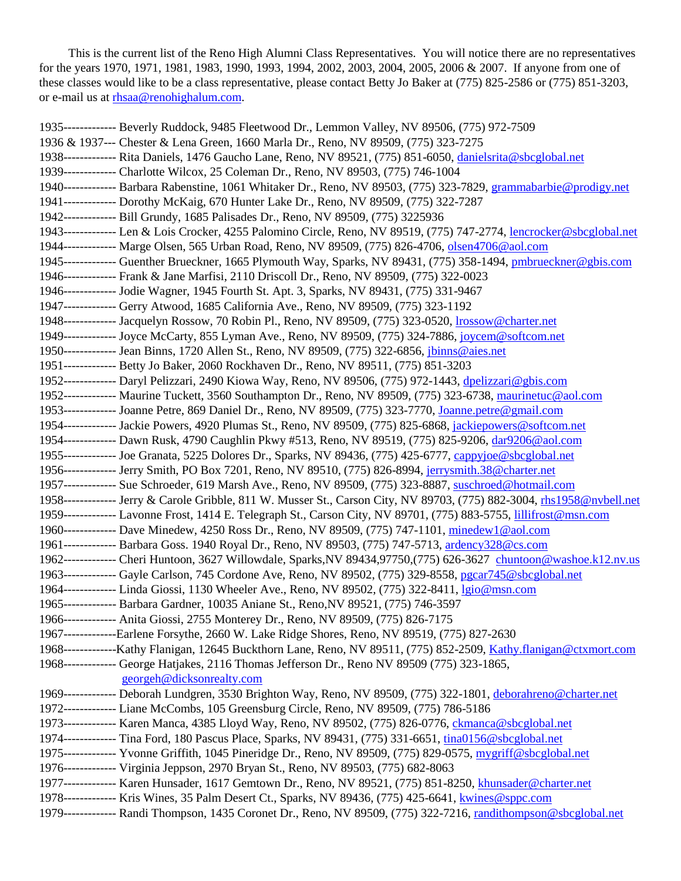This is the current list of the Reno High Alumni Class Representatives. You will notice there are no representatives for the years 1970, 1971, 1981, 1983, 1990, 1993, 1994, 2002, 2003, 2004, 2005, 2006 & 2007. If anyone from one of these classes would like to be a class representative, please contact Betty Jo Baker at (775) 825-2586 or (775) 851-3203, or e-mail us at [rhsaa@renohighalum.com.](mailto:rhsaa@renohighalum.com)

1935------------- Beverly Ruddock, 9485 Fleetwood Dr., Lemmon Valley, NV 89506, (775) 972-7509 1936 & 1937--- Chester & Lena Green, 1660 Marla Dr., Reno, NV 89509, (775) 323-7275 1938------------- Rita Daniels, 1476 Gaucho Lane, Reno, NV 89521, (775) 851-6050, [danielsrita@sbcglobal.net](mailto:danielsrita@sbcglobal.net) 1939------------- Charlotte Wilcox, 25 Coleman Dr., Reno, NV 89503, (775) 746-1004 1940------------- Barbara Rabenstine, 1061 Whitaker Dr., Reno, NV 89503, (775) 323-7829, [grammabarbie@prodigy.net](mailto:grammabarbie@prodigy.net) 1941------------- Dorothy McKaig, 670 Hunter Lake Dr., Reno, NV 89509, (775) 322-7287 1942------------- Bill Grundy, 1685 Palisades Dr., Reno, NV 89509, (775) 3225936 1943------------- Len & Lois Crocker, 4255 Palomino Circle, Reno, NV 89519, (775) 747-2774, [lencrocker@sbcglobal.net](mailto:lencrocker@sbcglobal.net) 1944------------- Marge Olsen, 565 Urban Road, Reno, NV 89509, (775) 826-4706, [olsen4706@aol.com](mailto:olsen4706@aol.com) 1945------------- Guenther Brueckner, 1665 Plymouth Way, Sparks, NV 89431, (775) 358-1494, [pmbrueckner@gbis.com](mailto:pmbrueckner@gbis.com) 1946------------- Frank & Jane Marfisi, 2110 Driscoll Dr., Reno, NV 89509, (775) 322-0023 1946------------- Jodie Wagner, 1945 Fourth St. Apt. 3, Sparks, NV 89431, (775) 331-9467 1947------------- Gerry Atwood, 1685 California Ave., Reno, NV 89509, (775) 323-1192 1948------------- Jacquelyn Rossow, 70 Robin Pl., Reno, NV 89509, (775) 323-0520[, lrossow@charter.net](mailto:lrossow@charter.net) 1949------------- Joyce McCarty, 855 Lyman Ave., Reno, NV 89509, (775) 324-7886, [joycem@softcom.net](mailto:joycem@softcom.net) 1950------------- Jean Binns, 1720 Allen St., Reno, NV 89509, (775) 322-6856, [jbinns@aies.net](mailto:jbinns@aies.net) 1951------------- Betty Jo Baker, 2060 Rockhaven Dr., Reno, NV 89511, (775) 851-3203 1952------------- Daryl Pelizzari, 2490 Kiowa Way, Reno, NV 89506, (775) 972-1443, [dpelizzari@gbis.com](mailto:dpelizzari@gbis.com) 1952------------- Maurine Tuckett, 3560 Southampton Dr., Reno, NV 89509, (775) 323-6738, [maurinetuc@aol.com](mailto:maurinetuc@aol.com) 1953------------- Joanne Petre, 869 Daniel Dr., Reno, NV 89509, (775) 323-7770, [Joanne.petre@gmail.com](mailto:Joanne.petre@gmail.com) 1954------------- Jackie Powers, 4920 Plumas St., Reno, NV 89509, (775) 825-6868, [jackiepowers@softcom.net](mailto:jackiepowers@softcom.net) 1954------------- Dawn Rusk, 4790 Caughlin Pkwy #513, Reno, NV 89519, (775) 825-9206, [dar9206@aol.com](mailto:dar9206@aol.com) 1955------------- Joe Granata, 5225 Dolores Dr., Sparks, NV 89436, (775) 425-6777, [cappyjoe@sbcglobal.net](mailto:cappyjoe@sbcglobal.net) 1956------------- Jerry Smith, PO Box 7201, Reno, NV 89510, (775) 826-8994, [jerrysmith.38@charter.net](mailto:jerrysmith.38@charter.net) 1957------------- Sue Schroeder, 619 Marsh Ave., Reno, NV 89509, (775) 323-8887, [suschroed@hotmail.com](mailto:suschroed@hotmail.com) 1958------------- Jerry & Carole Gribble, 811 W. Musser St., Carson City, NV 89703, (775) 882-3004, [rhs1958@nvbell.net](mailto:rhs1958@nvbell.net) 1959------------- Lavonne Frost, 1414 E. Telegraph St., Carson City, NV 89701, (775) 883-5755, [lillifrost@msn.com](mailto:lillifrost@msn.com) 1960------------- Dave Minedew, 4250 Ross Dr., Reno, NV 89509, (775) 747-1101, [minedew1@aol.com](mailto:minedew1@aol.com) 1961------------- Barbara Goss. 1940 Royal Dr., Reno, NV 89503, (775) 747-5713, [ardency328@cs.com](mailto:ardency328@cs.com) 1962------------- Cheri Huntoon, 3627 Willowdale, Sparks,NV 89434,97750,(775) 626-3627 [chuntoon@washoe.k12.nv.us](mailto:chuntoon@washoe.k12.nv.us) 1963------------- Gayle Carlson, 745 Cordone Ave, Reno, NV 89502, (775) 329-8558, [pgcar745@sbcglobal.net](mailto:pgcar745@sbcglobal.net) 1964------------- Linda Giossi, 1130 Wheeler Ave., Reno, NV 89502, (775) 322-8411, [lgio@msn.com](mailto:lgio@msn.com) 1965------------- Barbara Gardner, 10035 Aniane St., Reno,NV 89521, (775) 746-3597 1966------------- Anita Giossi, 2755 Monterey Dr., Reno, NV 89509, (775) 826-7175 1967-------------Earlene Forsythe, 2660 W. Lake Ridge Shores, Reno, NV 89519, (775) 827-2630 1968-------------Kathy Flanigan, 12645 Buckthorn Lane, Reno, NV 89511, (775) 852-2509, [Kathy.flanigan@ctxmort.com](mailto:Kathy.flanigan@ctxmort.com) 1968------------- George Hatjakes, 2116 Thomas Jefferson Dr., Reno NV 89509 (775) 323-1865, [georgeh@dicksonrealty.com](mailto:georgeh@dicksonrealty.com) 1969------------- Deborah Lundgren, 3530 Brighton Way, Reno, NV 89509, (775) 322-1801, [deborahreno@charter.net](mailto:deborahreno@charter.net) 1972------------- Liane McCombs, 105 Greensburg Circle, Reno, NV 89509, (775) 786-5186 1973------------- Karen Manca, 4385 Lloyd Way, Reno, NV 89502, (775) 826-0776, [ckmanca@sbcglobal.net](mailto:ckmanca@sbcglobal.net) 1974------------- Tina Ford, 180 Pascus Place, Sparks, NV 89431, (775) 331-6651, [tina0156@sbcglobal.net](mailto:tina0156@sbcglobal.net) 1975------------- Yvonne Griffith, 1045 Pineridge Dr., Reno, NV 89509, (775) 829-0575, [mygriff@sbcglobal.net](mailto:mygriff@sbcglobal.net) 1976------------- Virginia Jeppson, 2970 Bryan St., Reno, NV 89503, (775) 682-8063 1977------------- Karen Hunsader, 1617 Gemtown Dr., Reno, NV 89521, (775) 851-8250, [khunsader@charter.net](mailto:khunsader@charter.net) 1978------------- Kris Wines, 35 Palm Desert Ct., Sparks, NV 89436, (775) 425-6641, [kwines@sppc.com](mailto:kwines@sppc.com) 1979------------- Randi Thompson, 1435 Coronet Dr., Reno, NV 89509, (775) 322-7216, [randithompson@sbcglobal.net](mailto:randithompson@sbcglobal.net)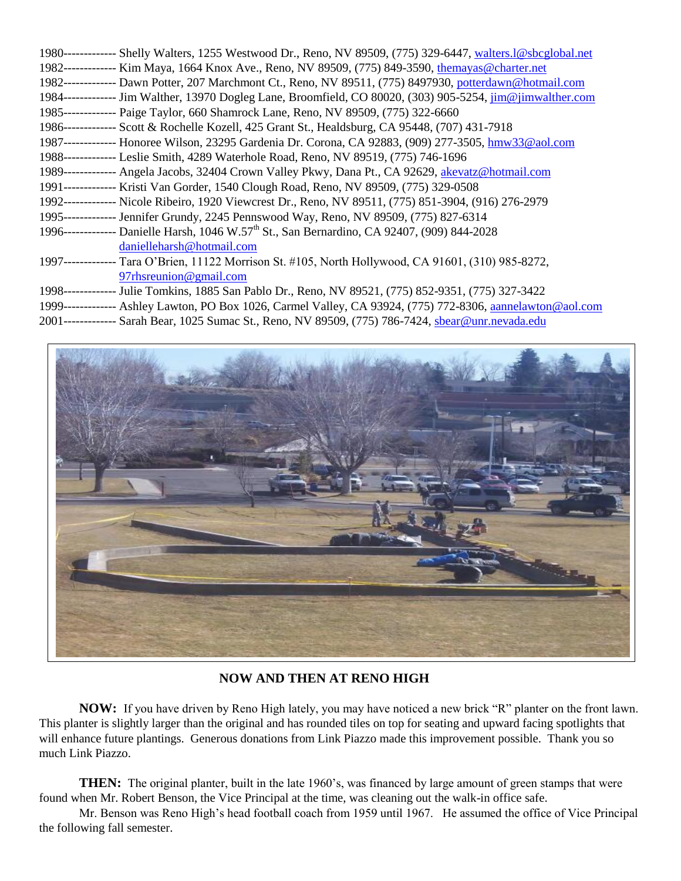| 1980------------- Shelly Walters, 1255 Westwood Dr., Reno, NV 89509, (775) 329-6447, walters.1@sbcglobal.net |
|--------------------------------------------------------------------------------------------------------------|
| 1982------------- Kim Maya, 1664 Knox Ave., Reno, NV 89509, (775) 849-3590, the mayas @charter.net           |
| 1982------------- Dawn Potter, 207 Marchmont Ct., Reno, NV 89511, (775) 8497930, potterdawn@hotmail.com      |
| 1984------------- Jim Walther, 13970 Dogleg Lane, Broomfield, CO 80020, (303) 905-5254, jim@jimwalther.com   |
| 1985------------- Paige Taylor, 660 Shamrock Lane, Reno, NV 89509, (775) 322-6660                            |
| 1986------------- Scott & Rochelle Kozell, 425 Grant St., Healdsburg, CA 95448, (707) 431-7918               |
| 1987------------- Honoree Wilson, 23295 Gardenia Dr. Corona, CA 92883, (909) 277-3505, hmw33@aol.com         |
| 1988------------- Leslie Smith, 4289 Waterhole Road, Reno, NV 89519, (775) 746-1696                          |
| 1989------------- Angela Jacobs, 32404 Crown Valley Pkwy, Dana Pt., CA 92629, akevatz@hotmail.com            |
| 1991------------- Kristi Van Gorder, 1540 Clough Road, Reno, NV 89509, (775) 329-0508                        |
| 1992------------- Nicole Ribeiro, 1920 Viewcrest Dr., Reno, NV 89511, (775) 851-3904, (916) 276-2979         |
| 1995------------- Jennifer Grundy, 2245 Pennswood Way, Reno, NV 89509, (775) 827-6314                        |
| 1996------------- Danielle Harsh, 1046 W.57 <sup>th</sup> St., San Bernardino, CA 92407, (909) 844-2028      |
| danielleharsh@hotmail.com                                                                                    |
| 1997------------- Tara O'Brien, 11122 Morrison St. #105, North Hollywood, CA 91601, (310) 985-8272,          |
| $97$ rhsreunion@gmail.com                                                                                    |
| 1998------------- Julie Tomkins, 1885 San Pablo Dr., Reno, NV 89521, (775) 852-9351, (775) 327-3422          |
| 1999------------- Ashley Lawton, PO Box 1026, Carmel Valley, CA 93924, (775) 772-8306, annelawton@aol.com    |
| 2001------------- Sarah Bear, 1025 Sumac St., Reno, NV 89509, (775) 786-7424, sbear@unr.nevada.edu           |



 **NOW AND THEN AT RENO HIGH**

**NOW:** If you have driven by Reno High lately, you may have noticed a new brick "R" planter on the front lawn. This planter is slightly larger than the original and has rounded tiles on top for seating and upward facing spotlights that will enhance future plantings. Generous donations from Link Piazzo made this improvement possible. Thank you so much Link Piazzo.

**THEN:** The original planter, built in the late 1960's, was financed by large amount of green stamps that were found when Mr. Robert Benson, the Vice Principal at the time, was cleaning out the walk-in office safe.

Mr. Benson was Reno High's head football coach from 1959 until 1967. He assumed the office of Vice Principal the following fall semester.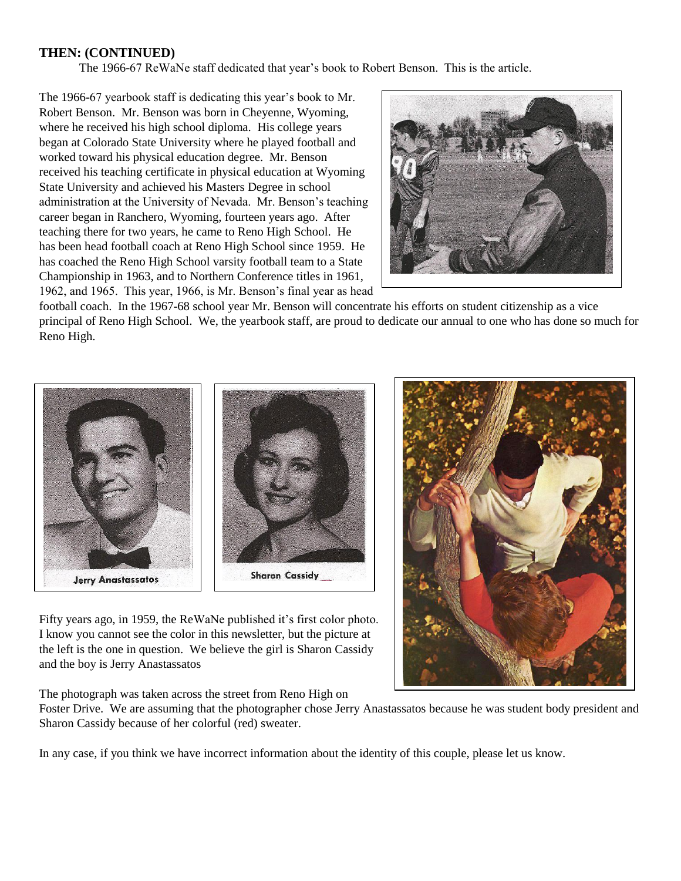### **THEN: (CONTINUED)**

The 1966-67 ReWaNe staff dedicated that year's book to Robert Benson. This is the article.

The 1966-67 yearbook staff is dedicating this year's book to Mr. Robert Benson. Mr. Benson was born in Cheyenne, Wyoming, where he received his high school diploma. His college years began at Colorado State University where he played football and worked toward his physical education degree. Mr. Benson received his teaching certificate in physical education at Wyoming State University and achieved his Masters Degree in school administration at the University of Nevada. Mr. Benson's teaching career began in Ranchero, Wyoming, fourteen years ago. After teaching there for two years, he came to Reno High School. He has been head football coach at Reno High School since 1959. He has coached the Reno High School varsity football team to a State Championship in 1963, and to Northern Conference titles in 1961, 1962, and 1965. This year, 1966, is Mr. Benson's final year as head



football coach. In the 1967-68 school year Mr. Benson will concentrate his efforts on student citizenship as a vice principal of Reno High School. We, the yearbook staff, are proud to dedicate our annual to one who has done so much for Reno High.



Fifty years ago, in 1959, the ReWaNe published it's first color photo. I know you cannot see the color in this newsletter, but the picture at the left is the one in question. We believe the girl is Sharon Cassidy and the boy is Jerry Anastassatos

The photograph was taken across the street from Reno High on

Foster Drive. We are assuming that the photographer chose Jerry Anastassatos because he was student body president and Sharon Cassidy because of her colorful (red) sweater.

In any case, if you think we have incorrect information about the identity of this couple, please let us know.

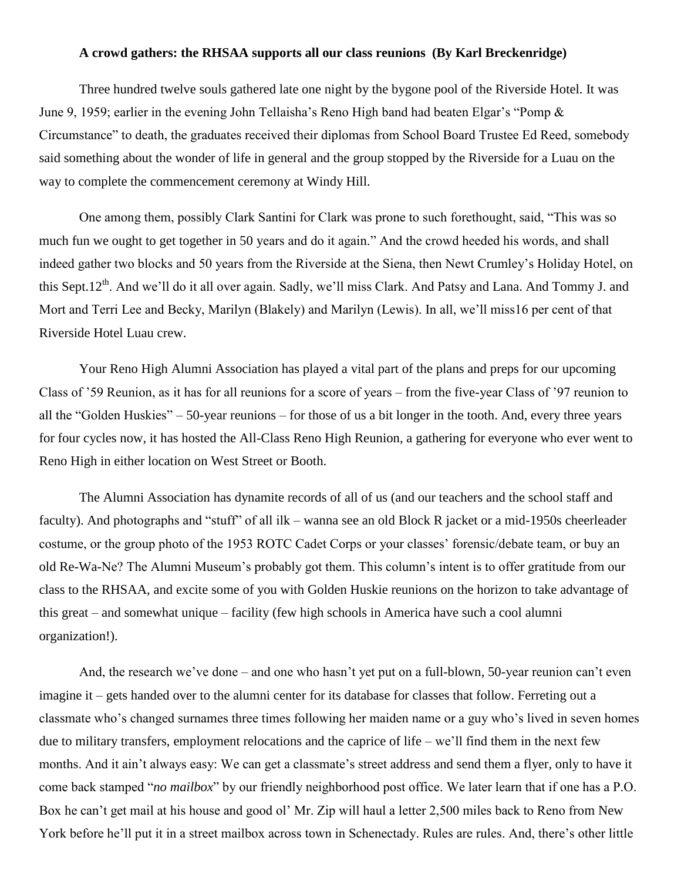#### **A crowd gathers: the RHSAA supports all our class reunions (By Karl Breckenridge)**

Three hundred twelve souls gathered late one night by the bygone pool of the Riverside Hotel. It was June 9, 1959; earlier in the evening John Tellaisha's Reno High band had beaten Elgar's "Pomp  $\&$ Circumstance" to death, the graduates received their diplomas from School Board Trustee Ed Reed, somebody said something about the wonder of life in general and the group stopped by the Riverside for a Luau on the way to complete the commencement ceremony at Windy Hill.

One among them, possibly Clark Santini for Clark was prone to such forethought, said, "This was so much fun we ought to get together in 50 years and do it again." And the crowd heeded his words, and shall indeed gather two blocks and 50 years from the Riverside at the Siena, then Newt Crumley's Holiday Hotel, on this Sept.12<sup>th</sup>. And we'll do it all over again. Sadly, we'll miss Clark. And Patsy and Lana. And Tommy J. and Mort and Terri Lee and Becky, Marilyn (Blakely) and Marilyn (Lewis). In all, we'll miss16 per cent of that Riverside Hotel Luau crew.

Your Reno High Alumni Association has played a vital part of the plans and preps for our upcoming Class of '59 Reunion, as it has for all reunions for a score of years – from the five-year Class of '97 reunion to all the "Golden Huskies" – 50-year reunions – for those of us a bit longer in the tooth. And, every three years for four cycles now, it has hosted the All-Class Reno High Reunion, a gathering for everyone who ever went to Reno High in either location on West Street or Booth.

The Alumni Association has dynamite records of all of us (and our teachers and the school staff and faculty). And photographs and "stuff" of all ilk – wanna see an old Block R jacket or a mid-1950s cheerleader costume, or the group photo of the 1953 ROTC Cadet Corps or your classes' forensic/debate team, or buy an old Re-Wa-Ne? The Alumni Museum's probably got them. This column's intent is to offer gratitude from our class to the RHSAA, and excite some of you with Golden Huskie reunions on the horizon to take advantage of this great – and somewhat unique – facility (few high schools in America have such a cool alumni organization!).

And, the research we've done – and one who hasn't yet put on a full-blown, 50-year reunion can't even imagine it – gets handed over to the alumni center for its database for classes that follow. Ferreting out a classmate who's changed surnames three times following her maiden name or a guy who's lived in seven homes due to military transfers, employment relocations and the caprice of life – we'll find them in the next few months. And it ain't always easy: We can get a classmate's street address and send them a flyer, only to have it come back stamped "*no mailbox*" by our friendly neighborhood post office. We later learn that if one has a P.O. Box he can't get mail at his house and good ol' Mr. Zip will haul a letter 2,500 miles back to Reno from New York before he'll put it in a street mailbox across town in Schenectady. Rules are rules. And, there's other little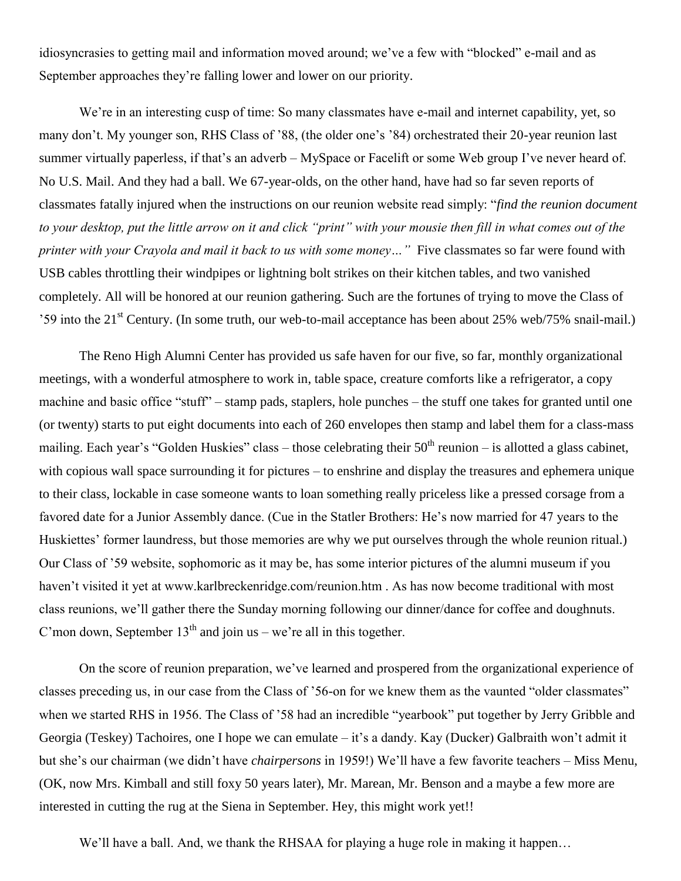idiosyncrasies to getting mail and information moved around; we've a few with "blocked" e-mail and as September approaches they're falling lower and lower on our priority.

We're in an interesting cusp of time: So many classmates have e-mail and internet capability, yet, so many don't. My younger son, RHS Class of '88, (the older one's '84) orchestrated their 20-year reunion last summer virtually paperless, if that's an adverb – MySpace or Facelift or some Web group I've never heard of. No U.S. Mail. And they had a ball. We 67-year-olds, on the other hand, have had so far seven reports of classmates fatally injured when the instructions on our reunion website read simply: "*find the reunion document to your desktop, put the little arrow on it and click "print" with your mousie then fill in what comes out of the printer with your Crayola and mail it back to us with some money…"* Five classmates so far were found with USB cables throttling their windpipes or lightning bolt strikes on their kitchen tables, and two vanished completely. All will be honored at our reunion gathering. Such are the fortunes of trying to move the Class of '59 into the 21st Century. (In some truth, our web-to-mail acceptance has been about 25% web/75% snail-mail.)

The Reno High Alumni Center has provided us safe haven for our five, so far, monthly organizational meetings, with a wonderful atmosphere to work in, table space, creature comforts like a refrigerator, a copy machine and basic office "stuff" – stamp pads, staplers, hole punches – the stuff one takes for granted until one (or twenty) starts to put eight documents into each of 260 envelopes then stamp and label them for a class-mass mailing. Each year's "Golden Huskies" class – those celebrating their  $50<sup>th</sup>$  reunion – is allotted a glass cabinet, with copious wall space surrounding it for pictures – to enshrine and display the treasures and ephemera unique to their class, lockable in case someone wants to loan something really priceless like a pressed corsage from a favored date for a Junior Assembly dance. (Cue in the Statler Brothers: He's now married for 47 years to the Huskiettes' former laundress, but those memories are why we put ourselves through the whole reunion ritual.) Our Class of '59 website, sophomoric as it may be, has some interior pictures of the alumni museum if you haven't visited it yet at www.karlbreckenridge.com/reunion.htm . As has now become traditional with most class reunions, we'll gather there the Sunday morning following our dinner/dance for coffee and doughnuts. C'mon down, September  $13<sup>th</sup>$  and join us – we're all in this together.

On the score of reunion preparation, we've learned and prospered from the organizational experience of classes preceding us, in our case from the Class of '56-on for we knew them as the vaunted "older classmates" when we started RHS in 1956. The Class of '58 had an incredible "yearbook" put together by Jerry Gribble and Georgia (Teskey) Tachoires, one I hope we can emulate – it's a dandy. Kay (Ducker) Galbraith won't admit it but she's our chairman (we didn't have *chairpersons* in 1959!) We'll have a few favorite teachers – Miss Menu, (OK, now Mrs. Kimball and still foxy 50 years later), Mr. Marean, Mr. Benson and a maybe a few more are interested in cutting the rug at the Siena in September. Hey, this might work yet!!

We'll have a ball. And, we thank the RHSAA for playing a huge role in making it happen...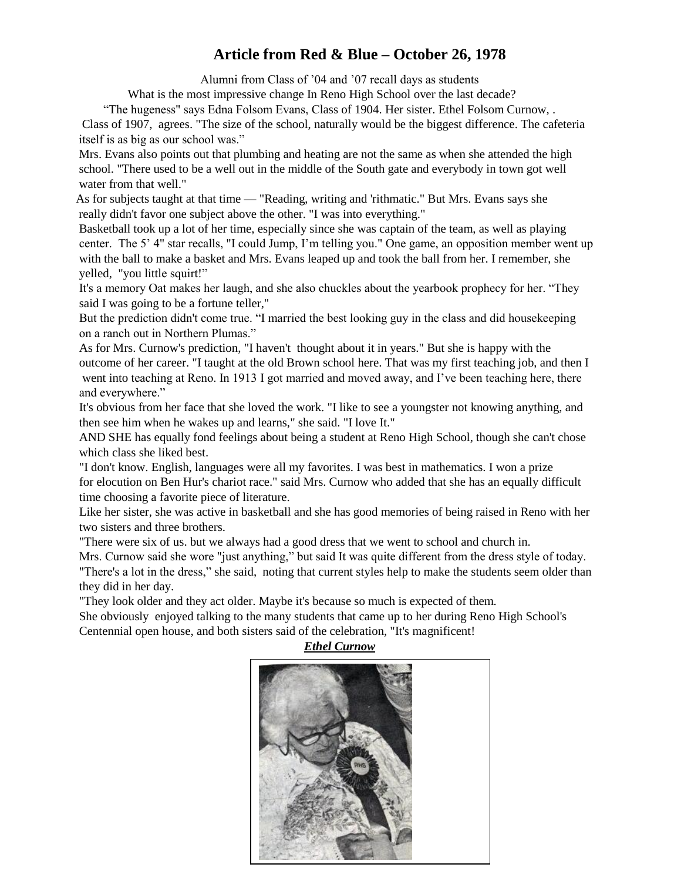# **Article from Red & Blue – October 26, 1978**

Alumni from Class of '04 and '07 recall days as students

What is the most impressive change In Reno High School over the last decade?

 ―The hugeness" says Edna Folsom Evans, Class of 1904. Her sister. Ethel Folsom Curnow, . Class of 1907, agrees. "The size of the school, naturally would be the biggest difference. The cafeteria itself is as big as our school was."

 Mrs. Evans also points out that plumbing and heating are not the same as when she attended the high school. "There used to be a well out in the middle of the South gate and everybody in town got well water from that well."

 As for subjects taught at that time — "Reading, writing and 'rithmatic." But Mrs. Evans says she really didn't favor one subject above the other. "I was into everything."

 Basketball took up a lot of her time, especially since she was captain of the team, as well as playing center. The 5' 4" star recalls, "I could Jump, I'm telling you." One game, an opposition member went up with the ball to make a basket and Mrs. Evans leaped up and took the ball from her. I remember, she yelled, "you little squirt!"

It's a memory Oat makes her laugh, and she also chuckles about the yearbook prophecy for her. "They said I was going to be a fortune teller,"

But the prediction didn't come true. "I married the best looking guy in the class and did housekeeping on a ranch out in Northern Plumas."

As for Mrs. Curnow's prediction, "I haven't thought about it in years." But she is happy with the outcome of her career. "I taught at the old Brown school here. That was my first teaching job, and then I went into teaching at Reno. In 1913 I got married and moved away, and I've been teaching here, there and everywhere."

It's obvious from her face that she loved the work. "I like to see a youngster not knowing anything, and then see him when he wakes up and learns," she said. "I love It."

AND SHE has equally fond feelings about being a student at Reno High School, though she can't chose which class she liked best.

"I don't know. English, languages were all my favorites. I was best in mathematics. I won a prize for elocution on Ben Hur's chariot race." said Mrs. Curnow who added that she has an equally difficult time choosing a favorite piece of literature.

Like her sister, she was active in basketball and she has good memories of being raised in Reno with her two sisters and three brothers.

"There were six of us. but we always had a good dress that we went to school and church in.

Mrs. Curnow said she wore "just anything," but said It was quite different from the dress style of today. "There's a lot in the dress," she said, noting that current styles help to make the students seem older than they did in her day.

"They look older and they act older. Maybe it's because so much is expected of them.

She obviously enjoyed talking to the many students that came up to her during Reno High School's Centennial open house, and both sisters said of the celebration, "It's magnificent!

*Ethel Curnow*